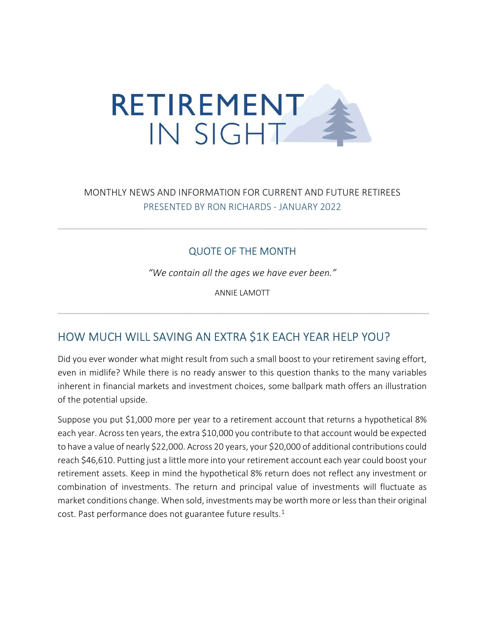

## MONTHLY NEWS AND INFORMATION FOR CURRENT AND FUTURE RETIREES PRESENTED BY RON RICHARDS - JANUARY 2022

#### QUOTE OF THE MONTH

"We contain all the ages we have ever been."

ANNIE LAMOTT

## HOW MUCH WILL SAVING AN EXTRA \$1K EACH YEAR HELP YOU?

Did you ever wonder what might result from such a small boost to your retirement saving effort, even in midlife? While there is no ready answer to this question thanks to the many variables inherent in financial markets and investment choices, some ballpark math offers an illustration of the potential upside.

Suppose you put \$1,000 more per year to a retirement account that returns a hypothetical 8% each year. Across ten years, the extra \$10,000 you contribute to that account would be expected to have a value of nearly \$22,000. Across 20 years, your \$20,000 of additional contributions could reach \$46,610. Putting just a little more into your retirement account each year could boost your retirement assets. Keep in mind the hypothetical 8% return does not reflect any investment or combination of investments. The return and principal value of investments will fluctuate as market conditions change. When sold, investments may be worth more or less than their original cost. Past performance does not guarantee future results. $<sup>1</sup>$ </sup>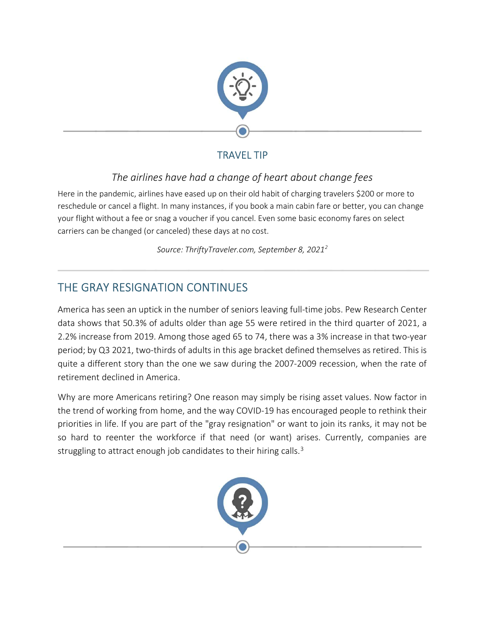

## TRAVEL TIP

## The airlines have had a change of heart about change fees

Here in the pandemic, airlines have eased up on their old habit of charging travelers \$200 or more to reschedule or cancel a flight. In many instances, if you book a main cabin fare or better, you can change your flight without a fee or snag a voucher if you cancel. Even some basic economy fares on select carriers can be changed (or canceled) these days at no cost.

Source: ThriftyTraveler.com, September 8, 2021<sup>2</sup>

# THE GRAY RESIGNATION CONTINUES

America has seen an uptick in the number of seniors leaving full-time jobs. Pew Research Center data shows that 50.3% of adults older than age 55 were retired in the third quarter of 2021, a 2.2% increase from 2019. Among those aged 65 to 74, there was a 3% increase in that two-year period; by Q3 2021, two-thirds of adults in this age bracket defined themselves as retired. This is quite a different story than the one we saw during the 2007-2009 recession, when the rate of retirement declined in America.

Why are more Americans retiring? One reason may simply be rising asset values. Now factor in the trend of working from home, and the way COVID-19 has encouraged people to rethink their priorities in life. If you are part of the "gray resignation" or want to join its ranks, it may not be so hard to reenter the workforce if that need (or want) arises. Currently, companies are struggling to attract enough job candidates to their hiring calls.<sup>3</sup>

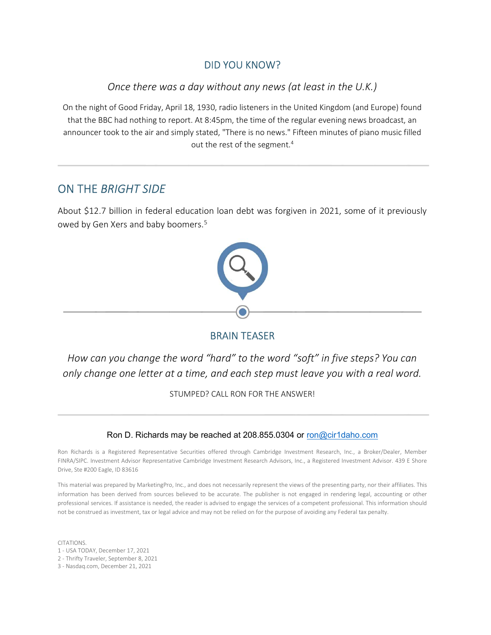#### DID YOU KNOW?

#### Once there was a day without any news (at least in the U.K.)

On the night of Good Friday, April 18, 1930, radio listeners in the United Kingdom (and Europe) found that the BBC had nothing to report. At 8:45pm, the time of the regular evening news broadcast, an announcer took to the air and simply stated, "There is no news." Fifteen minutes of piano music filled out the rest of the segment.<sup>4</sup>

### ON THE BRIGHT SIDE

About \$12.7 billion in federal education loan debt was forgiven in 2021, some of it previously owed by Gen Xers and baby boomers.<sup>5</sup>



#### BRAIN TEASER

How can you change the word "hard" to the word "soft" in five steps? You can only change one letter at a time, and each step must leave you with a real word.

STUMPED? CALL RON FOR THE ANSWER!

#### Ron D. Richards may be reached at 208.855.0304 or ron@cir1daho.com

Ron Richards is a Registered Representative Securities offered through Cambridge Investment Research, Inc., a Broker/Dealer, Member FINRA/SIPC. Investment Advisor Representative Cambridge Investment Research Advisors, Inc., a Registered Investment Advisor. 439 E Shore Drive, Ste #200 Eagle, ID 83616

This material was prepared by MarketingPro, Inc., and does not necessarily represent the views of the presenting party, nor their affiliates. This information has been derived from sources believed to be accurate. The publisher is not engaged in rendering legal, accounting or other professional services. If assistance is needed, the reader is advised to engage the services of a competent professional. This information should not be construed as investment, tax or legal advice and may not be relied on for the purpose of avoiding any Federal tax penalty.

CITATIONS. 1 - USA TODAY, December 17, 2021 2 - Thrifty Traveler, September 8, 2021 3 - Nasdaq.com, December 21, 2021